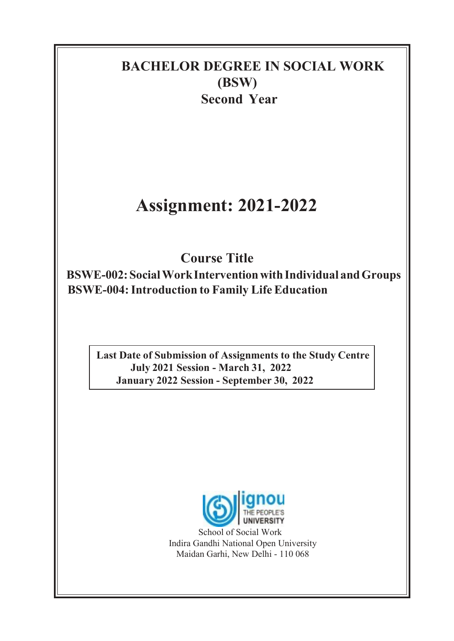## BACHELOR DEGREE IN SOCIAL WORK (BSW) Second Year

# Assignment: 2021-2022

Course Title

BSWE-002: Social Work Intervention with Individual and Groups BSWE-004: Introduction to Family Life Education

Last Date of Submission of Assignments to the Study Centre July 2021 Session - March 31, 2022 January 2022 Session - September 30, 2022



School of Social Work Indira Gandhi National Open University Maidan Garhi, New Delhi - 110 068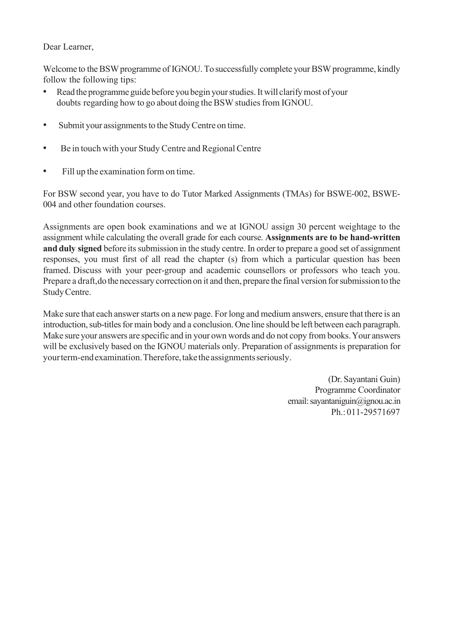#### Dear Learner,

Welcome to the BSW programme of IGNOU. To successfully complete your BSW programme, kindly follow the following tips:

- Read the programme guide before you begin your studies. It will clarify most of your doubts regarding how to go about doing the BSW studies from IGNOU.
- Submit your assignments to the Study Centre on time.
- Be in touch with your Study Centre and Regional Centre
- Fill up the examination form on time.

For BSW second year, you have to do Tutor Marked Assignments (TMAs) for BSWE-002, BSWE-004 and other foundation courses.

Assignments are open book examinations and we at IGNOU assign 30 percent weightage to the assignment while calculating the overall grade for each course. Assignments are to be hand-written and duly signed before its submission in the study centre. In order to prepare a good set of assignment responses, you must first of all read the chapter (s) from which a particular question has been framed. Discuss with your peer-group and academic counsellors or professors who teach you. Prepare a draft, do the necessary correction on it and then, prepare the final version for submission to the Study Centre.

Make sure that each answer starts on a new page. For long and medium answers, ensure that there is an introduction, sub-titles for main body and a conclusion. One line should be left between each paragraph. Make sure your answers are specific and in your own words and do not copy from books. Your answers will be exclusively based on the IGNOU materials only. Preparation of assignments is preparation for your term-end examination. Therefore, take the assignments seriously.

> (Dr. Sayantani Guin) Programme Coordinator email: sayantaniguin@ignou.ac.in Ph.: 011-29571697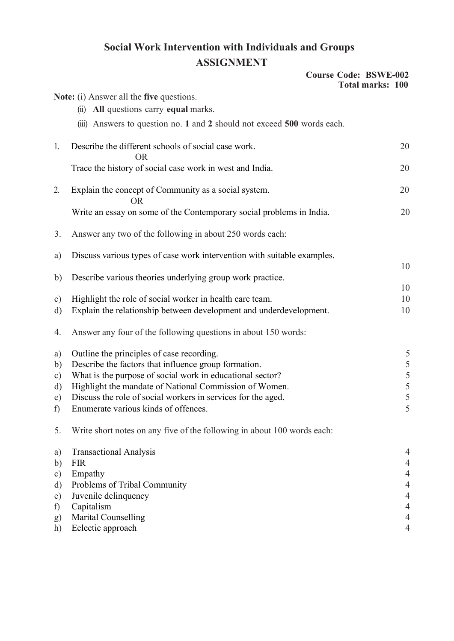### Social Work Intervention with Individuals and Groups ASSIGNMENT

|                  |                                                                         | <b>Course Code: BSWE-002</b><br><b>Total marks: 100</b> |
|------------------|-------------------------------------------------------------------------|---------------------------------------------------------|
|                  | Note: (i) Answer all the five questions.                                |                                                         |
|                  | All questions carry equal marks.<br>$\overline{11}$                     |                                                         |
|                  | (iii) Answers to question no. 1 and 2 should not exceed 500 words each. |                                                         |
| 1.               | Describe the different schools of social case work.<br><b>OR</b>        | 20                                                      |
|                  | Trace the history of social case work in west and India.                | 20                                                      |
| 2.               | Explain the concept of Community as a social system.<br><b>OR</b>       | 20                                                      |
|                  | Write an essay on some of the Contemporary social problems in India.    | 20                                                      |
| 3.               | Answer any two of the following in about 250 words each:                |                                                         |
| a)               | Discuss various types of case work intervention with suitable examples. |                                                         |
|                  |                                                                         | 10                                                      |
| b)               | Describe various theories underlying group work practice.               | 10                                                      |
| $\circ$ )        | Highlight the role of social worker in health care team.                | 10                                                      |
| d)               | Explain the relationship between development and underdevelopment.      | 10                                                      |
| 4.               | Answer any four of the following questions in about 150 words:          |                                                         |
| a)               | Outline the principles of case recording.                               | 5                                                       |
| b)               | Describe the factors that influence group formation.                    | 5                                                       |
| $\circ$ )        | What is the purpose of social work in educational sector?               | 5                                                       |
| d)               | Highlight the mandate of National Commission of Women.                  | 5                                                       |
| e)               | Discuss the role of social workers in services for the aged.            | 5                                                       |
| $f$ )            | Enumerate various kinds of offences.                                    |                                                         |
| 5.               | Write short notes on any five of the following in about 100 words each: |                                                         |
| a)               | <b>Transactional Analysis</b>                                           | 4                                                       |
| b)               | <b>FIR</b>                                                              | 4                                                       |
| c)               | Empathy                                                                 | $\overline{4}$                                          |
| d)               | Problems of Tribal Community                                            | $\overline{4}$                                          |
| e)               | Juvenile delinquency                                                    | 4                                                       |
| f)               | Capitalism                                                              | $\overline{4}$                                          |
| $\left(g\right)$ | Marital Counselling                                                     | $\overline{4}$                                          |
| h)               | Eclectic approach                                                       | 4                                                       |